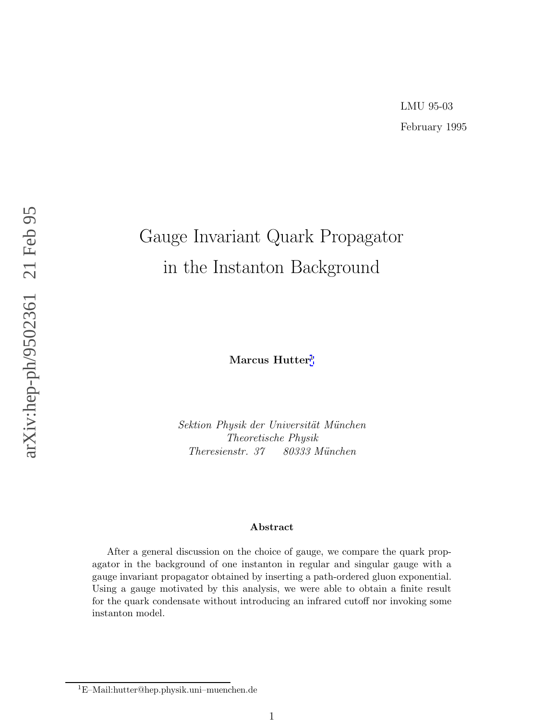# LMU 95-03 February 1995

# Gauge Invariant Quark Propagator in the Instanton Background

**Marcus Hutter** 1

Sektion Physik der Universität München Theoretische Physik Theresienstr. 37 80333 München

#### **Abstract**

After a general discussion on the choice of gauge, we compare the quark propagator in the background of one instanton in regular and singular gauge with a gauge invariant propagator obtained by inserting a path-ordered gluon exponential. Using a gauge motivated by this analysis, we were able to obtain a finite result for the quark condensate without introducing an infrared cutoff nor invoking some instanton model.

<sup>1</sup>E–Mail:hutter@hep.physik.uni–muenchen.de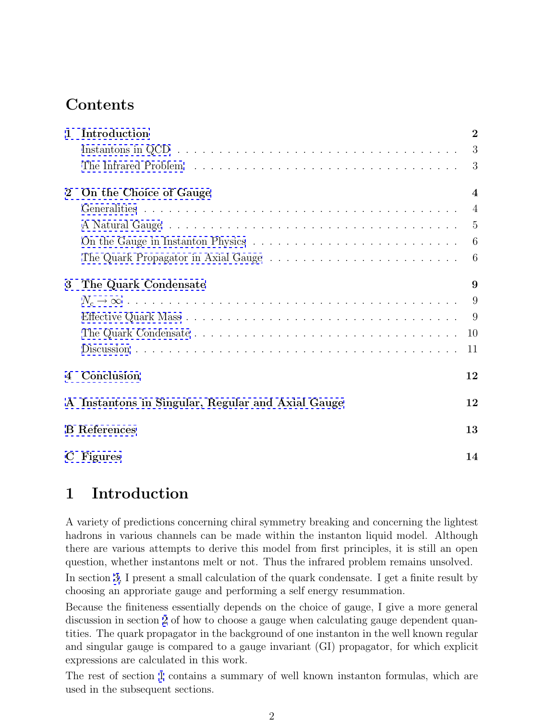# **Contents**

| $\mathbf{1}$   | Introduction                                      | $\overline{2}$ |  |  |  |
|----------------|---------------------------------------------------|----------------|--|--|--|
|                |                                                   | 3              |  |  |  |
|                |                                                   | 3              |  |  |  |
| $\bf{2}$       | On the Choice of Gauge                            | $\overline{4}$ |  |  |  |
|                |                                                   | $\overline{4}$ |  |  |  |
|                |                                                   | -5             |  |  |  |
|                |                                                   | -6             |  |  |  |
|                |                                                   | - 6            |  |  |  |
| 3              | The Quark Condensate                              | 9              |  |  |  |
|                |                                                   | 9              |  |  |  |
|                |                                                   | -9             |  |  |  |
|                |                                                   | 10             |  |  |  |
|                |                                                   | 11             |  |  |  |
| $\overline{4}$ | Conclusion                                        | 12             |  |  |  |
|                | A Instantons in Singular, Regular and Axial Gauge |                |  |  |  |
|                | <b>B</b> References                               |                |  |  |  |
|                | C Figures                                         | 14             |  |  |  |

# **1 Introduction**

A variety of predictions concerning chiral symmetry breaking and concerning the lightest hadrons in various channels can be made within the instanton liquid model. Although there are various attempts to derive this model from first principles, it is still an open question, whether instantons melt or not. Thus the infrared problem remains unsolved.

In section [3,](#page-8-0) I present a small calculation of the quark condensate. I get a finite result by choosing an approriate gauge and performing a self energy resummation.

Because the finiteness essentially depends on the choice of gauge, I give a more general discussion in section [2](#page-3-0) of how to choose a gauge when calculating gauge dependent quantities. The quark propagator in the background of one instanton in the well known regular and singular gauge is compared to a gauge invariant (GI) propagator, for which explicit expressions are calculated in this work.

The rest of section 1 contains a summary of well known instanton formulas, which are used in the subsequent sections.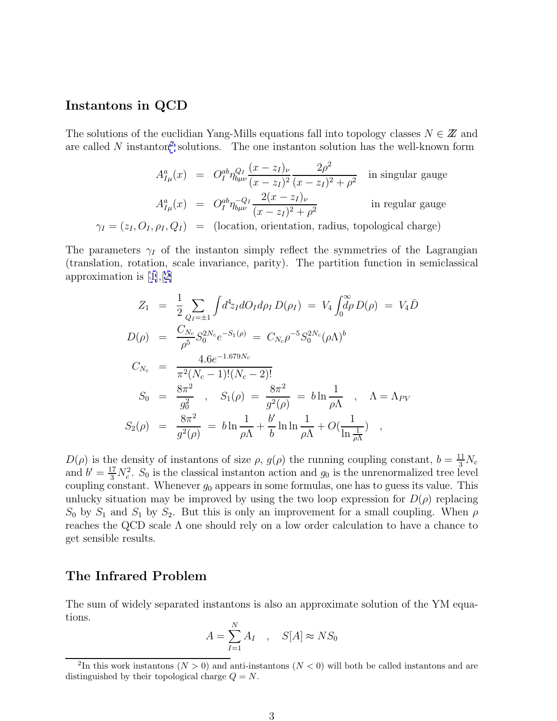#### <span id="page-2-0"></span>**Instantons in QCD**

The solutions of the euclidian Yang-Mills equations fall into topology classes  $N \in \mathbb{Z}$  and are called  $N$  instanton<sup>2</sup> solutions. The one instanton solution has the well-known form

$$
A_{I\mu}^{a}(x) = O_{I}^{ab}\eta_{b\mu\nu}^{Q_{I}}\frac{(x-z_{I})_{\nu}}{(x-z_{I})^{2}}\frac{2\rho^{2}}{(x-z_{I})^{2} + \rho^{2}}
$$
 in singular gauge  

$$
A_{I\mu}^{a}(x) = O_{I}^{ab}\eta_{b\mu\nu}^{-Q_{I}}\frac{2(x-z_{I})_{\nu}}{(x-z_{I})^{2} + \rho^{2}}
$$
 in regular gauge  

$$
\gamma_{I} = (z_{I}, O_{I}, \rho_{I}, Q_{I}) = (\text{location, orientation, radius, topological charge})
$$

The parameters  $\gamma_I$  of the instanton simply reflect the symmetries of the Lagrangian (translation, rotation, scale invariance, parity). The partition function in semiclassical approximation is [\[1\]](#page-13-0),[[2\]](#page-13-0)

$$
Z_1 = \frac{1}{2} \sum_{Q_I = \pm 1} \int d^4 z_I dO_I d\rho_I D(\rho_I) = V_4 \int_0^{\infty} d\rho D(\rho) = V_4 \bar{D}
$$
  
\n
$$
D(\rho) = \frac{C_{N_c}}{\rho^5} S_0^{2N_c} e^{-S_1(\rho)} = C_{N_c} \rho^{-5} S_0^{2N_c} (\rho \Lambda)^b
$$
  
\n
$$
C_{N_c} = \frac{4.6 e^{-1.679 N_c}}{\pi^2 (N_c - 1)!(N_c - 2)!}
$$
  
\n
$$
S_0 = \frac{8\pi^2}{g_0^2}, \quad S_1(\rho) = \frac{8\pi^2}{g^2(\rho)} = b \ln \frac{1}{\rho \Lambda}, \quad \Lambda = \Lambda_{PV}
$$
  
\n
$$
S_2(\rho) = \frac{8\pi^2}{g^2(\rho)} = b \ln \frac{1}{\rho \Lambda} + \frac{b'}{b} \ln \ln \frac{1}{\rho \Lambda} + O(\frac{1}{\ln \frac{1}{\rho \Lambda}}),
$$

 $D(\rho)$  is the density of instantons of size  $\rho$ ,  $g(\rho)$  the running coupling constant,  $b = \frac{11}{3}N_c$ and  $b' = \frac{17}{3} N_c^2$ .  $S_0$  is the classical instanton action and  $g_0$  is the unrenormalized tree level coupling constant. Whenever  $g_0$  appears in some formulas, one has to guess its value. This unlucky situation may be improved by using the two loop expression for  $D(\rho)$  replacing  $S_0$  by  $S_1$  and  $S_1$  by  $S_2$ . But this is only an improvement for a small coupling. When  $\rho$ reaches the QCD scale  $\Lambda$  one should rely on a low order calculation to have a chance to get sensible results.

#### **The Infrared Problem**

The sum of widely separated instantons is also an approximate solution of the YM equations.

$$
A = \sum_{I=1}^{N} A_I \quad , \quad S[A] \approx NS_0
$$

<sup>&</sup>lt;sup>2</sup>In this work instantons ( $N > 0$ ) and anti-instantons ( $N < 0$ ) will both be called instantons and are distinguished by their topological charge  $Q = N$ .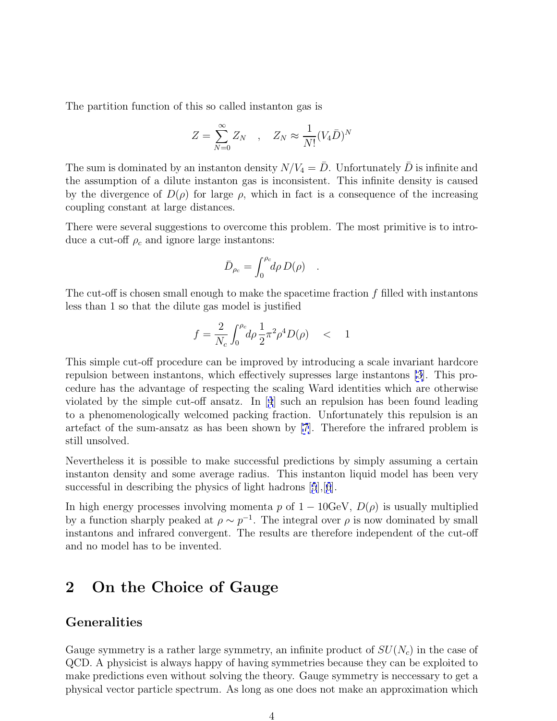<span id="page-3-0"></span>The partition function of this so called instanton gas is

$$
Z = \sum_{N=0}^{\infty} Z_N \quad , \quad Z_N \approx \frac{1}{N!} (V_4 \bar{D})^N
$$

The sum is dominated by an instanton density  $N/V_4 = \bar{D}$ . Unfortunately  $\bar{D}$  is infinite and the assumption of a dilute instanton gas is inconsistent. This infinite density is caused by the divergence of  $D(\rho)$  for large  $\rho$ , which in fact is a consequence of the increasing coupling constant at large distances.

There were several suggestions to overcome this problem. The most primitive is to introduce a cut-off  $\rho_c$  and ignore large instantons:

$$
\bar{D}_{\rho_c} = \int_0^{\rho_c} d\rho \, D(\rho) \quad .
$$

The cut-off is chosen small enough to make the spacetime fraction  $f$  filled with instantons less than 1 so that the dilute gas model is justified

$$
f = \frac{2}{N_c} \int_0^{\rho_c} \! d\rho \, \frac{1}{2} \pi^2 \rho^4 D(\rho) \quad < \quad 1
$$

This simple cut-off procedure can be improved by introducing a scale invariant hardcore repulsion between instantons, which effectively supresses large instantons [\[3](#page-13-0)]. This procedure has the advantage of respecting the scaling Ward identities which are otherwise violated by the simple cut-off ansatz. In [[4](#page-13-0)] such an repulsion has been found leading to a phenomenologically welcomed packing fraction. Unfortunately this repulsion is an artefact of the sum-ansatz as has been shown by [\[7](#page-13-0)]. Therefore the infrared problem is still unsolved.

Nevertheless it is possible to make successful predictions by simply assuming a certain instanton density and some average radius. This instanton liquid model has been very successful in describing the physics of light hadrons [[5](#page-13-0)], [[6](#page-13-0)].

In high energy processes involving momenta p of  $1 - 10 \text{GeV}$ ,  $D(\rho)$  is usually multiplied by a function sharply peaked at  $\rho \sim p^{-1}$ . The integral over  $\rho$  is now dominated by small instantons and infrared convergent. The results are therefore independent of the cut-off and no model has to be invented.

# **2 On the Choice of Gauge**

#### **Generalities**

Gauge symmetry is a rather large symmetry, an infinite product of  $SU(N_c)$  in the case of QCD. A physicist is always happy of having symmetries because they can be exploited to make predictions even without solving the theory. Gauge symmetry is neccessary to get a physical vector particle spectrum. As long as one does not make an approximation which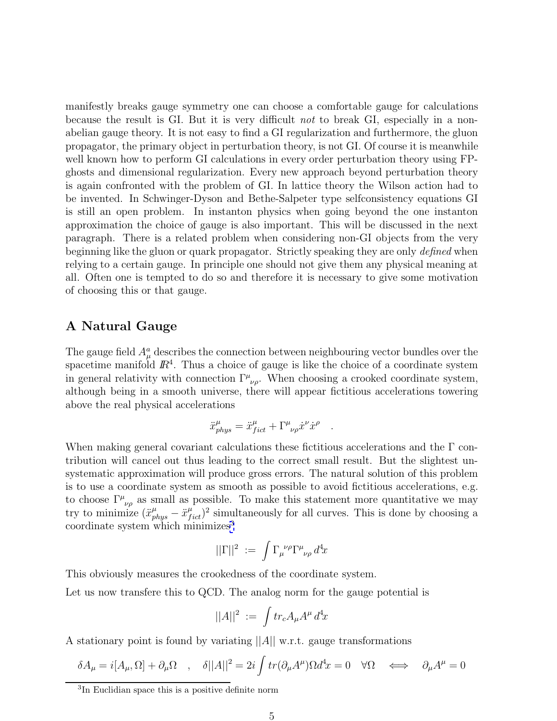<span id="page-4-0"></span>manifestly breaks gauge symmetry one can choose a comfortable gauge for calculations because the result is GI. But it is very difficult not to break GI, especially in a nonabelian gauge theory. It is not easy to find a GI regularization and furthermore, the gluon propagator, the primary object in perturbation theory, is not GI. Of course it is meanwhile well known how to perform GI calculations in every order perturbation theory using FPghosts and dimensional regularization. Every new approach beyond perturbation theory is again confronted with the problem of GI. In lattice theory the Wilson action had to be invented. In Schwinger-Dyson and Bethe-Salpeter type selfconsistency equations GI is still an open problem. In instanton physics when going beyond the one instanton approximation the choice of gauge is also important. This will be discussed in the next paragraph. There is a related problem when considering non-GI objects from the very beginning like the gluon or quark propagator. Strictly speaking they are only defined when relying to a certain gauge. In principle one should not give them any physical meaning at all. Often one is tempted to do so and therefore it is necessary to give some motivation of choosing this or that gauge.

#### **A Natural Gauge**

The gauge field  $A^a_\mu$  describes the connection between neighbouring vector bundles over the spacetime manifold  $\mathbb{R}^4$ . Thus a choice of gauge is like the choice of a coordinate system in general relativity with connection  $\Gamma^{\mu}{}_{\nu\rho}$ . When choosing a crooked coordinate system, although being in a smooth universe, there will appear fictitious accelerations towering above the real physical accelerations

$$
\ddot{x}^{\mu}_{phys} = \ddot{x}^{\mu}_{fict} + \Gamma^{\mu}_{\nu\rho} \dot{x}^{\nu} \dot{x}^{\rho} .
$$

When making general covariant calculations these fictitious accelerations and the  $\Gamma$  contribution will cancel out thus leading to the correct small result. But the slightest unsystematic approximation will produce gross errors. The natural solution of this problem is to use a coordinate system as smooth as possible to avoid fictitious accelerations, e.g. to choose  $\Gamma^{\mu}{}_{\nu\rho}$  as small as possible. To make this statement more quantitative we may try to minimize  $(\ddot{x}^{\mu}_{phys} - \ddot{x}^{\mu}_{fict})^2$  simultaneously for all curves. This is done by choosing a coordinate system which minimizes<sup>3</sup>

$$
||\Gamma||^2 \; := \; \int \Gamma_\mu^{\;\;\nu\rho} \Gamma^\mu_{\;\;\nu\rho} \, d^4\!x
$$

This obviously measures the crookedness of the coordinate system.

Let us now transfere this to QCD. The analog norm for the gauge potential is

$$
||A||^2 \; := \; \int tr_c A_\mu A^\mu \, d^4x
$$

A stationary point is found by variating  $||A||$  w.r.t. gauge transformations

$$
\delta A_{\mu}=i[A_{\mu},\Omega]+\partial_{\mu}\Omega\quad,\quad \delta||A||^{2}=2i\int tr(\partial_{\mu}A^{\mu})\Omega d^{4}x=0\quad \forall \Omega\quad \Longleftrightarrow\quad \partial_{\mu}A^{\mu}=0
$$

<sup>3</sup>In Euclidian space this is a positive definite norm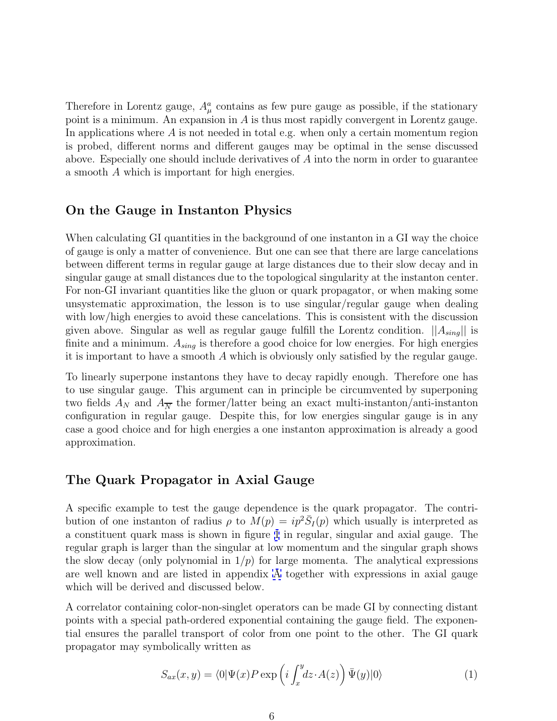Therefore in Lorentz gauge,  $A^a_\mu$  contains as few pure gauge as possible, if the stationary point is a minimum. An expansion in A is thus most rapidly convergent in Lorentz gauge. In applications where  $A$  is not needed in total e.g. when only a certain momentum region is probed, different norms and different gauges may be optimal in the sense discussed above. Especially one should include derivatives of A into the norm in order to guarantee a smooth A which is important for high energies.

#### **On the Gauge in Instanton Physics**

When calculating GI quantities in the background of one instanton in a GI way the choice of gauge is only a matter of convenience. But one can see that there are large cancelations between different terms in regular gauge at large distances due to their slow decay and in singular gauge at small distances due to the topological singularity at the instanton center. For non-GI invariant quantities like the gluon or quark propagator, or when making some unsystematic approximation, the lesson is to use singular/regular gauge when dealing with low/high energies to avoid these cancelations. This is consistent with the discussion given above. Singular as well as regular gauge fulfill the Lorentz condition.  $||A_{sing}||$  is finite and a minimum.  $A_{sing}$  is therefore a good choice for low energies. For high energies it is important to have a smooth A which is obviously only satisfied by the regular gauge.

To linearly superpone instantons they have to decay rapidly enough. Therefore one has to use singular gauge. This argument can in principle be circumvented by superponing two fields  $A_N$  and  $A_{\overline{N}}$  the former/latter being an exact multi-instanton/anti-instanton configuration in regular gauge. Despite this, for low energies singular gauge is in any case a good choice and for high energies a one instanton approximation is already a good approximation.

#### **The Quark Propagator in Axial Gauge**

A specific example to test the gauge dependence is the quark propagator. The contribution of one instanton of radius  $\rho$  to  $M(p) = ip^2 \overline{S}_I(p)$  which usually is interpreted as a constituent quark mass is shown in figure [1](#page-14-0) in regular, singular and axial gauge. The regular graph is larger than the singular at low momentum and the singular graph shows the slow decay (only polynomial in  $1/p$ ) for large momenta. The analytical expressions are well known and are listed in appendix [A](#page-11-0) together with expressions in axial gauge which will be derived and discussed below.

A correlator containing color-non-singlet operators can be made GI by connecting distant points with a special path-ordered exponential containing the gauge field. The exponential ensures the parallel transport of color from one point to the other. The GI quark propagator may symbolically written as

$$
S_{ax}(x,y) = \langle 0|\Psi(x)P\exp\left(i\int_x^y dz \cdot A(z)\right)\bar{\Psi}(y)|0\rangle \tag{1}
$$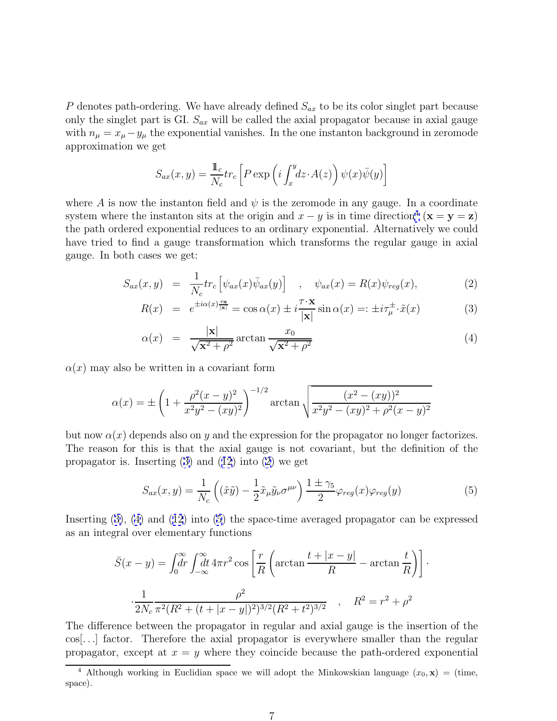P denotes path-ordering. We have already defined  $S_{ax}$  to be its color singlet part because only the singlet part is GI.  $S_{ax}$  will be called the axial propagator because in axial gauge with  $n_{\mu} = x_{\mu} - y_{\mu}$  the exponential vanishes. In the one instanton background in zeromode approximation we get

$$
S_{ax}(x,y) = \frac{1}{N_c} \text{tr}_c \left[ P \exp \left( i \int_x^y dz \cdot A(z) \right) \psi(x) \overline{\psi}(y) \right]
$$

where A is now the instanton field and  $\psi$  is the zeromode in any gauge. In a coordinate system where the instanton sits at the origin and  $x - y$  is in time direction<sup>4</sup> ( $\mathbf{x} = \mathbf{y} = \mathbf{z}$ ) the path ordered exponential reduces to an ordinary exponential. Alternatively we could have tried to find a gauge transformation which transforms the regular gauge in axial gauge. In both cases we get:

$$
S_{ax}(x,y) = \frac{1}{N_c} tr_c \left[ \psi_{ax}(x) \bar{\psi}_{ax}(y) \right] , \quad \psi_{ax}(x) = R(x) \psi_{reg}(x), \tag{2}
$$

$$
R(x) = e^{\pm i\alpha(x)\frac{\tau x}{|\mathbf{x}|}} = \cos \alpha(x) \pm i\frac{\tau \cdot \mathbf{x}}{|\mathbf{x}|} \sin \alpha(x) =: \pm i\tau_{\mu}^{\pm} \cdot \tilde{x}(x) \tag{3}
$$

$$
\alpha(x) = \frac{|\mathbf{x}|}{\sqrt{\mathbf{x}^2 + \rho^2}} \arctan \frac{x_0}{\sqrt{\mathbf{x}^2 + \rho^2}}
$$
(4)

 $\alpha(x)$  may also be written in a covariant form

$$
\alpha(x) = \pm \left(1 + \frac{\rho^2 (x - y)^2}{x^2 y^2 - (xy)^2}\right)^{-1/2} \arctan\sqrt{\frac{(x^2 - (xy))^2}{x^2 y^2 - (xy)^2 + \rho^2 (x - y)^2}}
$$

but now  $\alpha(x)$  depends also on y and the expression for the propagator no longer factorizes. The reason for this is that the axial gauge is not covariant, but the definition of the propagator is. Inserting  $(3)$  and  $(12)$  $(12)$  $(12)$  into  $(2)$  we get

$$
S_{ax}(x,y) = \frac{1}{N_c} \left( (\tilde{x}\tilde{y}) - \frac{1}{2} \tilde{x}_{\mu} \tilde{y}_{\nu} \sigma^{\mu \nu} \right) \frac{1 \pm \gamma_5}{2} \varphi_{reg}(x) \varphi_{reg}(y) \tag{5}
$$

·

Inserting (3), (4) and ([12](#page-12-0)) into (5) the space-time averaged propagator can be expressed as an integral over elementary functions

$$
\bar{S}(x - y) = \int_0^{\infty} dr \int_{-\infty}^{\infty} dt \, 4\pi r^2 \cos\left[\frac{r}{R}\left(\arctan\frac{t + |x - y|}{R} - \arctan\frac{t}{R}\right)\right]
$$

$$
\frac{1}{2N_c} \frac{\rho^2}{\pi^2 (R^2 + (t + |x - y|)^2)^{3/2} (R^2 + t^2)^{3/2}} \quad , \quad R^2 = r^2 + \rho^2
$$

The difference between the propagator in regular and axial gauge is the insertion of the cos[...] factor. Therefore the axial propagator is everywhere smaller than the regular propagator, except at  $x = y$  where they coincide because the path-ordered exponential

<sup>&</sup>lt;sup>4</sup> Although working in Euclidian space we will adopt the Minkowskian language  $(x_0, \mathbf{x}) =$  (time, space).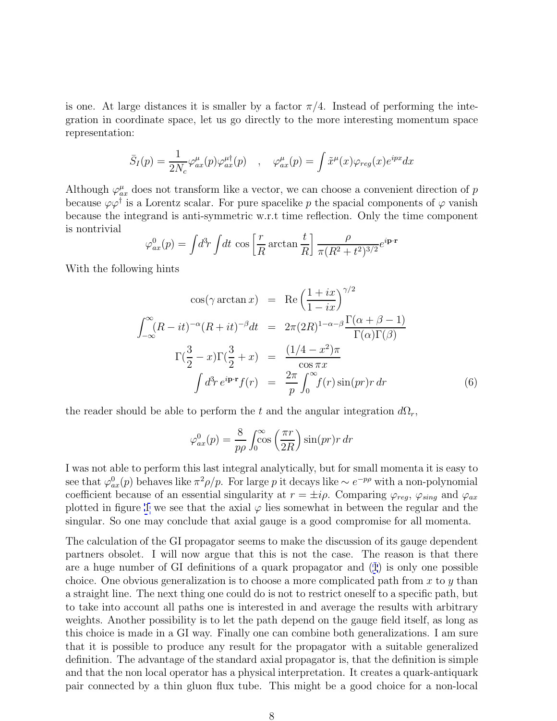is one. At large distances it is smaller by a factor  $\pi/4$ . Instead of performing the integration in coordinate space, let us go directly to the more interesting momentum space representation:

$$
\bar{S}_I(p) = \frac{1}{2N_c} \varphi_{ax}^{\mu}(p) \varphi_{ax}^{\mu \dagger}(p) \quad , \quad \varphi_{ax}^{\mu}(p) = \int \tilde{x}^{\mu}(x) \varphi_{reg}(x) e^{ipx} dx
$$

Although  $\varphi_{ax}^{\mu}$  does not transform like a vector, we can choose a convenient direction of p because  $\varphi\varphi^{\dagger}$  is a Lorentz scalar. For pure spacelike p the spacial components of  $\varphi$  vanish because the integrand is anti-symmetric w.r.t time reflection. Only the time component is nontrivial

$$
\varphi_{ax}^0(p) = \int d^3r \int dt \, \cos\left[\frac{r}{R}\arctan\frac{t}{R}\right] \frac{\rho}{\pi (R^2 + t^2)^{3/2}} e^{i\mathbf{p}\cdot\mathbf{r}}
$$

With the following hints

$$
\cos(\gamma \arctan x) = \text{Re}\left(\frac{1+ix}{1-ix}\right)^{\gamma/2}
$$

$$
\int_{-\infty}^{\infty} (R-it)^{-\alpha} (R+it)^{-\beta} dt = 2\pi (2R)^{1-\alpha-\beta} \frac{\Gamma(\alpha+\beta-1)}{\Gamma(\alpha)\Gamma(\beta)}
$$

$$
\Gamma(\frac{3}{2}-x)\Gamma(\frac{3}{2}+x) = \frac{(1/4-x^2)\pi}{\cos \pi x}
$$

$$
\int d^3r \, e^{i\mathbf{p}\cdot\mathbf{r}} f(r) = \frac{2\pi}{p} \int_0^{\infty} f(r) \sin(pr)r \, dr \tag{6}
$$

the reader should be able to perform the t and the angular integration  $d\Omega_r$ ,

$$
\varphi_{ax}^0(p) = \frac{8}{p\rho} \int_0^\infty \cos\left(\frac{\pi r}{2R}\right) \sin(pr) r \, dr
$$

I was not able to perform this last integral analytically, but for small momenta it is easy to see that  $\varphi_{ax}^0(p)$  behaves like  $\pi^2 \rho/p$ . For large p it decays like  $\sim e^{-p\rho}$  with a non-polynomial coefficient because of an essential singularity at  $r = \pm i\rho$ . Comparing  $\varphi_{reg}$ ,  $\varphi_{sing}$  and  $\varphi_{ax}$ plotted in figure [1](#page-14-0) we see that the axial  $\varphi$  lies somewhat in between the regular and the singular. So one may conclude that axial gauge is a good compromise for all momenta.

The calculation of the GI propagator seems to make the discussion of its gauge dependent partners obsolet. I will now argue that this is not the case. The reason is that there are a huge number of GI definitions of a quark propagator and ([1](#page-2-0)) is only one possible choice. One obvious generalization is to choose a more complicated path from  $x$  to  $y$  than a straight line. The next thing one could do is not to restrict oneself to a specific path, but to take into account all paths one is interested in and average the results with arbitrary weights. Another possibility is to let the path depend on the gauge field itself, as long as this choice is made in a GI way. Finally one can combine both generalizations. I am sure that it is possible to produce any result for the propagator with a suitable generalized definition. The advantage of the standard axial propagator is, that the definition is simple and that the non local operator has a physical interpretation. It creates a quark-antiquark pair connected by a thin gluon flux tube. This might be a good choice for a non-local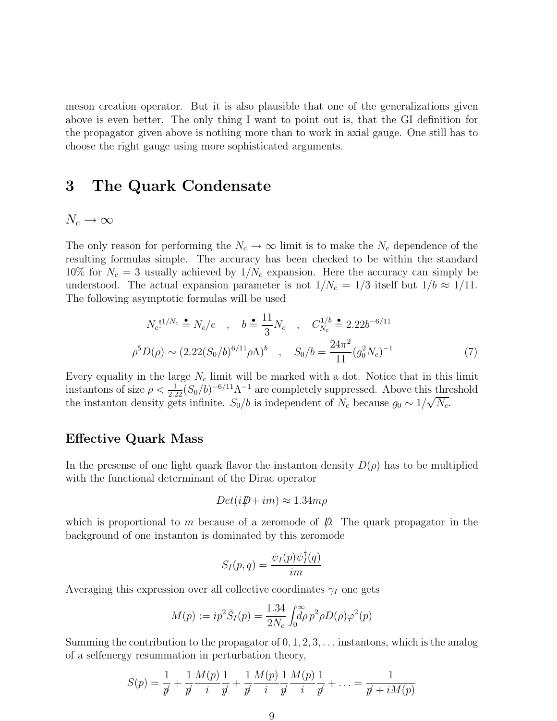<span id="page-8-0"></span>meson creation operator. But it is also plausible that one of the generalizations given above is even better. The only thing I want to point out is, that the GI definition for the propagator given above is nothing more than to work in axial gauge. One still has to choose the right gauge using more sophisticated arguments.

### **3 The Quark Condensate**

#### $N_c \rightarrow \infty$

The only reason for performing the  $N_c \to \infty$  limit is to make the  $N_c$  dependence of the resulting formulas simple. The accuracy has been checked to be within the standard 10% for  $N_c = 3$  usually achieved by  $1/N_c$  expansion. Here the accuracy can simply be understood. The actual expansion parameter is not  $1/N_c = 1/3$  itself but  $1/b \approx 1/11$ . The following asymptotic formulas will be used

$$
N_c!^{1/N_c} \triangleq N_c/e \quad , \quad b \triangleq \frac{11}{3} N_c \quad , \quad C_{N_c}^{1/b} \triangleq 2.22b^{-6/11}
$$

$$
\rho^5 D(\rho) \sim (2.22(S_0/b)^{6/11} \rho \Lambda)^b \quad , \quad S_0/b = \frac{24\pi^2}{11} (g_0^2 N_c)^{-1} \tag{7}
$$

Every equality in the large  $N_c$  limit will be marked with a dot. Notice that in this limit instantons of size  $\rho < \frac{1}{2.22}(S_0/b)^{-6/11}\Lambda^{-1}$  are completely suppressed. Above this threshold the instanton density gets infinite.  $S_0/b$  is independent of  $N_c$  because  $g_0 \sim 1/\sqrt{N_c}$ .

#### **Effective Quark Mass**

In the presense of one light quark flavor the instanton density  $D(\rho)$  has to be multiplied with the functional determinant of the Dirac operator

$$
Det(i\rlap{\,/}D + im) \approx 1.34 m\rho
$$

which is proportional to m because of a zeromode of  $\mathcal{D}$ . The quark propagator in the background of one instanton is dominated by this zeromode

$$
S_I(p,q) = \frac{\psi_I(p)\psi_I^{\intercal}(q)}{im}
$$

Averaging this expression over all collective coordinates  $\gamma_I$  one gets

$$
M(p) := ip^2 \bar{S}_I(p) = \frac{1.34}{2N_c} \int_0^\infty \rho^2 \rho D(\rho) \varphi^2(p)
$$

Summing the contribution to the propagator of  $0, 1, 2, 3, \ldots$  instantons, which is the analog of a selfenergy resummation in perturbation theory,

$$
S(p) = \frac{1}{p'} + \frac{1}{p'} \frac{M(p)}{i} \frac{1}{p'} + \frac{1}{p'} \frac{M(p)}{i} \frac{1}{p'} \frac{M(p)}{i} \frac{1}{p'} + \dots = \frac{1}{p' + iM(p)}
$$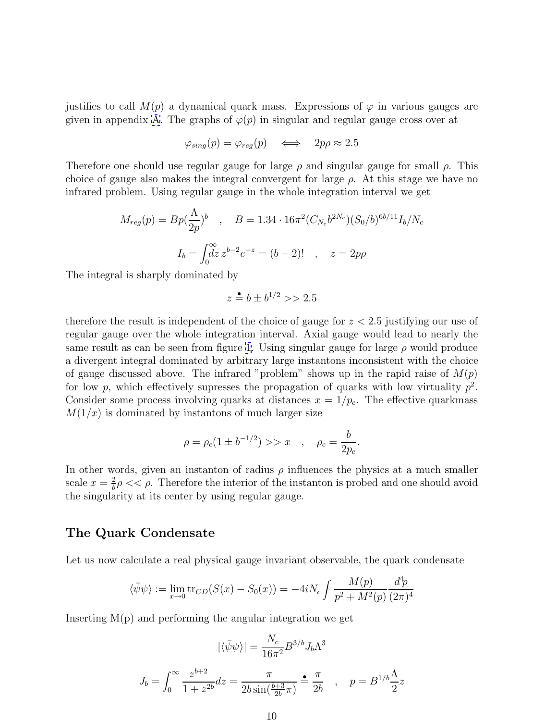justifies to call  $M(p)$  a dynamical quark mass. Expressions of  $\varphi$  in various gauges are given in appendix [A.](#page-11-0) The graphs of  $\varphi(p)$  in singular and regular gauge cross over at

$$
\varphi_{sing}(p) = \varphi_{reg}(p) \iff 2p\rho \approx 2.5
$$

Therefore one should use regular gauge for large  $\rho$  and singular gauge for small  $\rho$ . This choice of gauge also makes the integral convergent for large  $\rho$ . At this stage we have no infrared problem. Using regular gauge in the whole integration interval we get

$$
M_{reg}(p) = Bp(\frac{\Lambda}{2p})^b , \quad B = 1.34 \cdot 16\pi^2 (C_{N_c}b^{2N_c})(S_0/b)^{6b/11} I_b/N_c
$$

$$
I_b = \int_0^\infty dz \, z^{b-2} e^{-z} = (b-2)! , \quad z = 2p\rho
$$

The integral is sharply dominated by

$$
z \stackrel{\bullet}{=} b \pm b^{1/2} \gg 2.5
$$

therefore the result is independent of the choice of gauge for  $z < 2.5$  justifying our use of regular gauge over the whole integration interval. Axial gauge would lead to nearly the same result as can be seen from figure [1](#page-14-0). Using singular gauge for large  $\rho$  would produce a divergent integral dominated by arbitrary large instantons inconsistent with the choice of gauge discussed above. The infrared "problem" shows up in the rapid raise of  $M(p)$ for low p, which effectively supresses the propagation of quarks with low virtuality  $p^2$ . Consider some process involving quarks at distances  $x = 1/p_c$ . The effective quarkmass  $M(1/x)$  is dominated by instantons of much larger size

$$
\rho = \rho_c (1 \pm b^{-1/2}) \gg x \quad , \quad \rho_c = \frac{b}{2p_c}.
$$

In other words, given an instanton of radius  $\rho$  influences the physics at a much smaller scale  $x = \frac{2}{b} \rho \ll \rho$ . Therefore the interior of the instanton is probed and one should avoid the singularity at its center by using regular gauge.

#### **The Quark Condensate**

Let us now calculate a real physical gauge invariant observable, the quark condensate

$$
\langle \bar{\psi}\psi \rangle := \lim_{x \to 0} \text{tr}_{CD}(S(x) - S_0(x)) = -4iN_c \int \frac{M(p)}{p^2 + M^2(p)} \frac{d^4p}{(2\pi)^4}
$$

Inserting  $M(p)$  and performing the angular integration we get

$$
|\langle \bar{\psi}\psi \rangle| = \frac{N_c}{16\pi^2} B^{3/b} J_b \Lambda^3
$$

$$
J_b = \int_0^\infty \frac{z^{b+2}}{1+z^{2b}} dz = \frac{\pi}{2b \sin(\frac{b+3}{2b}\pi)} \triangleq \frac{\pi}{2b} \quad , \quad p = B^{1/b} \frac{\Lambda}{2} z
$$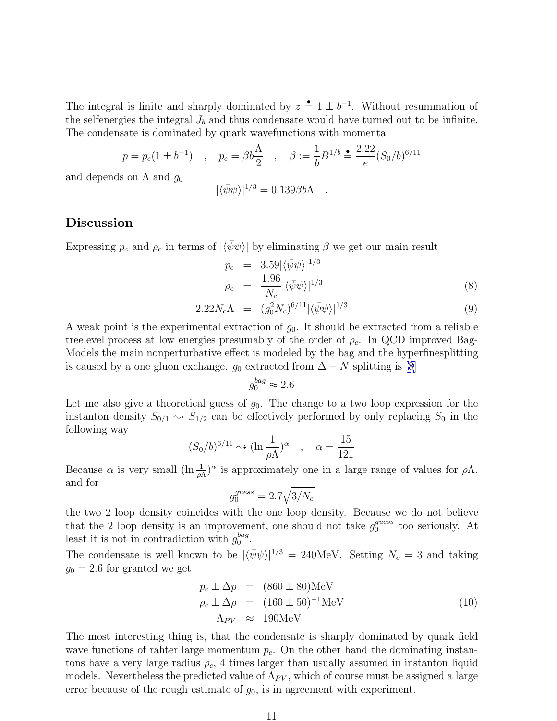The integral is finite and sharply dominated by  $z = 1 \pm b^{-1}$ . Without resummation of the selfenergies the integral  $J<sub>b</sub>$  and thus condensate would have turned out to be infinite. The condensate is dominated by quark wavefunctions with momenta

$$
p = p_c(1 \pm b^{-1})
$$
,  $p_c = \beta b \frac{\Lambda}{2}$ ,  $\beta := \frac{1}{b} B^{1/b} \stackrel{\bullet}{=} \frac{2.22}{e} (S_0/b)^{6/11}$ 

and depends on  $\Lambda$  and  $q_0$ 

$$
|\langle \bar{\psi}\psi \rangle|^{1/3} = 0.139 \beta b \Lambda .
$$

#### **Discussion**

Expressing  $p_c$  and  $\rho_c$  in terms of  $|\langle \bar{\psi}\psi \rangle|$  by eliminating  $\beta$  we get our main result

$$
p_c = 3.59 |\langle \bar{\psi}\psi \rangle|^{1/3}
$$
  
\n
$$
\rho_c = \frac{1.96}{N_c} |\langle \bar{\psi}\psi \rangle|^{1/3}
$$
\n(8)

$$
2.22N_c\Lambda = (g_0^2 N_c)^{6/11} |\langle \bar{\psi}\psi \rangle|^{1/3}
$$
 (9)

A weak point is the experimental extraction of  $g_0$ . It should be extracted from a reliable treelevel process at low energies presumably of the order of  $\rho_c$ . In QCD improved Bag-Models the main nonperturbative effect is modeled by the bag and the hyperfinesplitting is caused by a one gluon exchange.  $g_0$  extracted from  $\Delta - N$  splitting is [\[8](#page-13-0)]

$$
g_0^{bag} \approx 2.6
$$

Let me also give a theoretical guess of  $g_0$ . The change to a two loop expression for the instanton density  $S_{0/1} \sim S_{1/2}$  can be effectively performed by only replacing  $S_0$  in the following way

$$
(S_0/b)^{6/11} \sim (\ln \frac{1}{\rho \Lambda})^{\alpha} , \quad \alpha = \frac{15}{121}
$$

Because  $\alpha$  is very small  $(\ln \frac{1}{\rho \Lambda})^{\alpha}$  is approximately one in a large range of values for  $\rho \Lambda$ . and for

$$
g_0^{guess} = 2.7\sqrt{3/N_c}
$$

the two 2 loop density coincides with the one loop density. Because we do not believe that the 2 loop density is an improvement, one should not take  $g_0^{guess}$  too seriously. At least it is not in contradiction with  $g_0^{bag}$ .

The condensate is well known to be  $|\langle \bar{\psi}\psi \rangle|^{1/3} = 240$ MeV. Setting  $N_c = 3$  and taking  $g_0 = 2.6$  for granted we get

$$
p_c \pm \Delta p = (860 \pm 80) \text{MeV}
$$
  
\n
$$
\rho_c \pm \Delta \rho = (160 \pm 50)^{-1} \text{MeV}
$$
  
\n
$$
\Lambda_{PV} \approx 190 \text{MeV}
$$
 (10)

The most interesting thing is, that the condensate is sharply dominated by quark field wave functions of rahter large momentum  $p_c$ . On the other hand the dominating instantons have a very large radius  $\rho_c$ , 4 times larger than usually assumed in instanton liquid models. Nevertheless the predicted value of  $\Lambda_{PV}$ , which of course must be assigned a large error because of the rough estimate of  $g_0$ , is in agreement with experiment.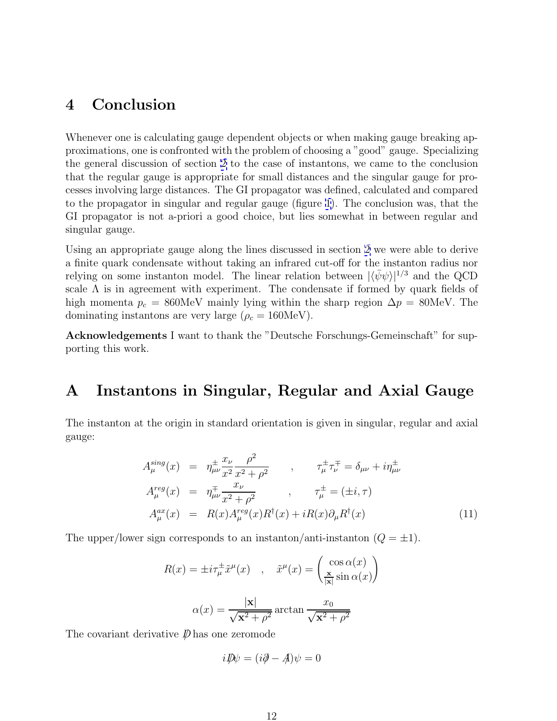# <span id="page-11-0"></span>**4 Conclusion**

Whenever one is calculating gauge dependent objects or when making gauge breaking approximations, one is confronted with the problem of choosing a "good" gauge. Specializing the general discussion of section [2](#page-3-0) to the case of instantons, we came to the conclusion that the regular gauge is appropriate for small distances and the singular gauge for processes involving large distances. The GI propagator was defined, calculated and compared to the propagator in singular and regular gauge (figure [1\)](#page-14-0). The conclusion was, that the GI propagator is not a-priori a good choice, but lies somewhat in between regular and singular gauge.

Using an appropriate gauge along the lines discussed in section [2](#page-3-0) we were able to derive a finite quark condensate without taking an infrared cut-off for the instanton radius nor relying on some instanton model. The linear relation between  $|\langle \bar{\psi}\psi \rangle|^{1/3}$  and the QCD scale  $\Lambda$  is in agreement with experiment. The condensate if formed by quark fields of high momenta  $p_c = 860$ MeV mainly lying within the sharp region  $\Delta p = 80$ MeV. The dominating instantons are very large ( $\rho_c = 160 \text{MeV}$ ).

**Acknowledgements** I want to thank the "Deutsche Forschungs-Gemeinschaft" for supporting this work.

## **A Instantons in Singular, Regular and Axial Gauge**

The instanton at the origin in standard orientation is given in singular, regular and axial gauge:

$$
A_{\mu}^{sing}(x) = \eta_{\mu\nu}^{\pm} \frac{x_{\nu}}{x^2} \frac{\rho^2}{x^2 + \rho^2} , \qquad \tau_{\mu}^{\pm} \tau_{\nu}^{\mp} = \delta_{\mu\nu} + i \eta_{\mu\nu}^{\pm} A_{\mu}^{reg}(x) = \eta_{\mu\nu}^{\mp} \frac{x_{\nu}}{x^2 + \rho^2} , \qquad \tau_{\mu}^{\pm} = (\pm i, \tau) A_{\mu}^{ax}(x) = R(x) A_{\mu}^{reg}(x) R^{\dagger}(x) + i R(x) \partial_{\mu} R^{\dagger}(x)
$$
 (11)

The upper/lower sign corresponds to an instanton/anti-instanton  $(Q = \pm 1)$ .

$$
R(x) = \pm i \tau_{\mu}^{\pm} \tilde{x}^{\mu}(x) , \quad \tilde{x}^{\mu}(x) = \begin{pmatrix} \cos \alpha(x) \\ \frac{\mathbf{x}}{|\mathbf{x}|} \sin \alpha(x) \end{pmatrix}
$$

$$
\alpha(x) = \frac{|\mathbf{x}|}{\sqrt{\mathbf{x}^2 + \rho^2}} \arctan \frac{x_0}{\sqrt{\mathbf{x}^2 + \rho^2}}
$$

The covariant derivative  $\not\!\!\!D$  has one zeromode

$$
i\rlap{\,/}D\psi = (i\partial \!\!\!/ - \!\!\! A)\psi = 0
$$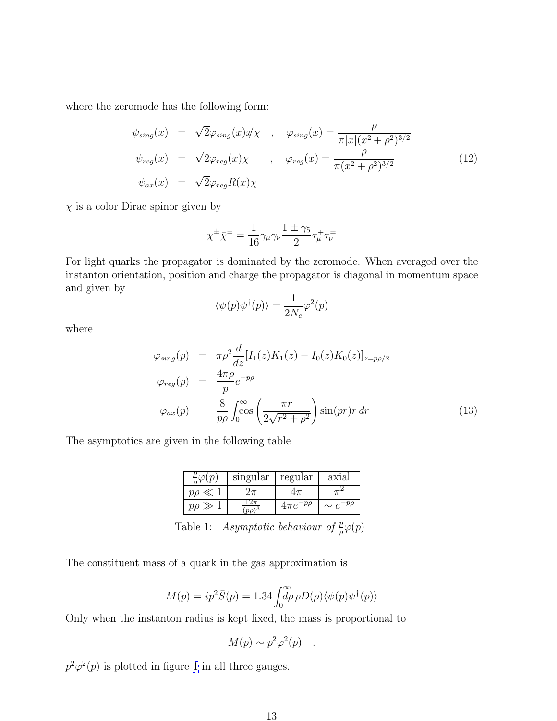<span id="page-12-0"></span>where the zeromode has the following form:

$$
\psi_{sing}(x) = \sqrt{2}\varphi_{sing}(x)\psi_x, \quad \varphi_{sing}(x) = \frac{\rho}{\pi |x|(x^2 + \rho^2)^{3/2}}
$$
  

$$
\psi_{reg}(x) = \sqrt{2}\varphi_{reg}(x)\chi, \quad \varphi_{reg}(x) = \frac{\rho}{\pi (x^2 + \rho^2)^{3/2}}
$$
(12)  

$$
\psi_{ax}(x) = \sqrt{2}\varphi_{reg}R(x)\chi
$$

 $\chi$  is a color Dirac spinor given by

$$
\chi^{\pm}\bar{\chi}^{\pm}=\frac{1}{16}\gamma_{\mu}\gamma_{\nu}\frac{1\pm\gamma_{5}}{2}\tau_{\mu}^{\mp}\tau_{\nu}^{\pm}
$$

For light quarks the propagator is dominated by the zeromode. When averaged over the instanton orientation, position and charge the propagator is diagonal in momentum space and given by

$$
\langle \psi(p)\psi^{\dagger}(p)\rangle = \frac{1}{2N_c}\varphi^2(p)
$$

where

$$
\varphi_{sing}(p) = \pi \rho^2 \frac{d}{dz} [I_1(z) K_1(z) - I_0(z) K_0(z)]_{z=p\rho/2}
$$
  
\n
$$
\varphi_{reg}(p) = \frac{4\pi \rho}{p} e^{-pp}
$$
  
\n
$$
\varphi_{ax}(p) = \frac{8}{p\rho} \int_0^\infty \cos\left(\frac{\pi r}{2\sqrt{r^2 + \rho^2}}\right) \sin(pr) r dr
$$
\n(13)

The asymptotics are given in the following table

|                     | $singular$   regular |                   | axial             |
|---------------------|----------------------|-------------------|-------------------|
| U .<br>$n_{\Omega}$ |                      |                   |                   |
| $p\rho \gg$         | $p\rho$              | $4\pi e^{-p\rho}$ | $\sim e^{-p\rho}$ |

Table 1: Asymptotic behaviour of  $\frac{p}{\rho}\varphi(p)$ 

The constituent mass of a quark in the gas approximation is

$$
M(p) = ip^2 \bar{S}(p) = 1.34 \int_0^\infty \rho \rho D(\rho) \langle \psi(p) \psi^\dagger(p) \rangle
$$

Only when the instanton radius is kept fixed, the mass is proportional to

$$
M(p) \sim p^2 \varphi^2(p) .
$$

 $p^2\varphi^2(p)$  is plotted in figure [1](#page-14-0) in all three gauges.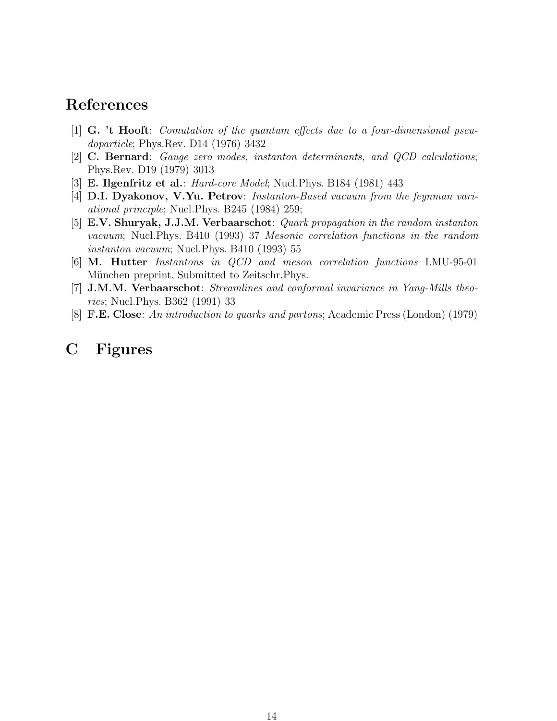# <span id="page-13-0"></span>**References**

- [1] **G. 't Hooft**: Comutation of the quantum effects due to a four-dimensional pseudoparticle; Phys.Rev. D14 (1976) 3432
- [2] **C. Bernard**: Gauge zero modes, instanton determinants, and QCD calculations; Phys.Rev. D19 (1979) 3013
- [3] **E. Ilgenfritz et al.**: Hard-core Model; Nucl.Phys. B184 (1981) 443
- [4] **D.I. Dyakonov, V.Yu. Petrov**: Instanton-Based vacuum from the feynman variational principle; Nucl.Phys. B245 (1984) 259;
- [5] **E.V. Shuryak, J.J.M. Verbaarschot**: Quark propagation in the random instanton vacuum; Nucl.Phys. B410 (1993) 37 Mesonic correlation functions in the random instanton vacuum; Nucl.Phys. B410 (1993) 55
- [6] **M. Hutter** Instantons in QCD and meson correlation functions LMU-95-01 München preprint, Submitted to Zeitschr. Phys.
- [7] **J.M.M. Verbaarschot**: Streamlines and conformal invariance in Yang-Mills theories; Nucl.Phys. B362 (1991) 33
- [8] **F.E. Close**: An introduction to quarks and partons; Academic Press (London) (1979)

# **C Figures**